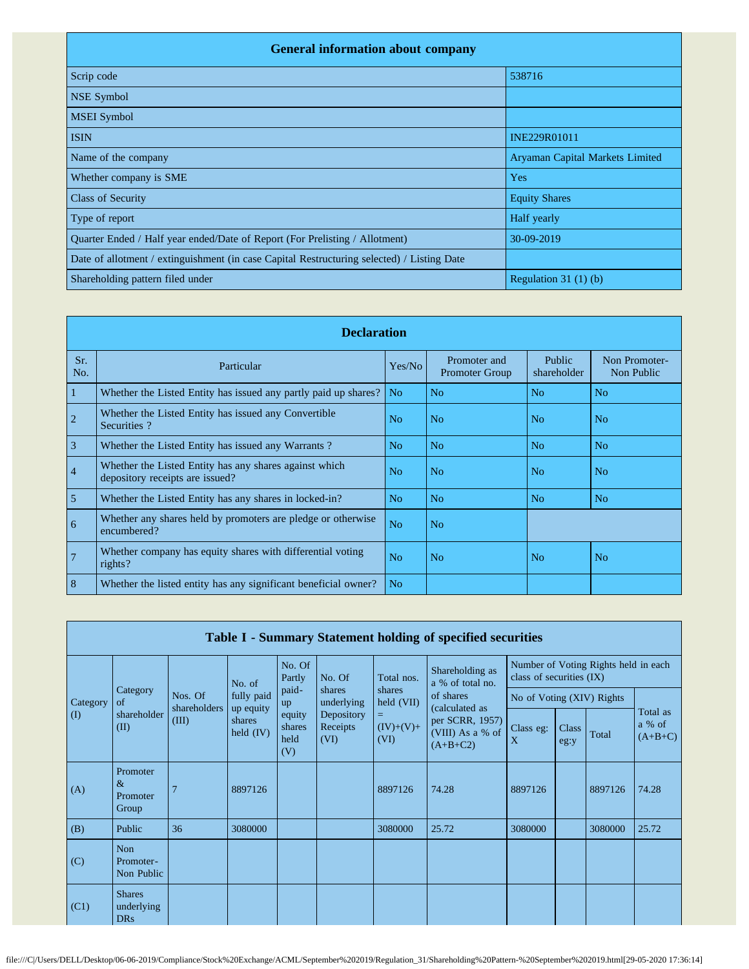| <b>General information about company</b>                                                   |                                 |
|--------------------------------------------------------------------------------------------|---------------------------------|
| Scrip code                                                                                 | 538716                          |
| <b>NSE Symbol</b>                                                                          |                                 |
| <b>MSEI</b> Symbol                                                                         |                                 |
| <b>ISIN</b>                                                                                | INE229R01011                    |
| Name of the company                                                                        | Aryaman Capital Markets Limited |
| Whether company is SME                                                                     | Yes                             |
| <b>Class of Security</b>                                                                   | <b>Equity Shares</b>            |
| Type of report                                                                             | Half yearly                     |
| Quarter Ended / Half year ended/Date of Report (For Prelisting / Allotment)                | 30-09-2019                      |
| Date of allotment / extinguishment (in case Capital Restructuring selected) / Listing Date |                                 |
| Shareholding pattern filed under                                                           | Regulation $31(1)(b)$           |

|                | <b>Declaration</b>                                                                        |                |                                       |                       |                             |  |  |  |
|----------------|-------------------------------------------------------------------------------------------|----------------|---------------------------------------|-----------------------|-----------------------------|--|--|--|
| Sr.<br>No.     | Particular                                                                                | Yes/No         | Promoter and<br><b>Promoter Group</b> | Public<br>shareholder | Non Promoter-<br>Non Public |  |  |  |
| 1              | Whether the Listed Entity has issued any partly paid up shares?                           | No.            | N <sub>o</sub>                        | N <sub>o</sub>        | N <sub>o</sub>              |  |  |  |
| $\overline{2}$ | Whether the Listed Entity has issued any Convertible<br>Securities?                       | N <sub>o</sub> | N <sub>o</sub>                        | N <sub>0</sub>        | N <sub>o</sub>              |  |  |  |
| $\overline{3}$ | Whether the Listed Entity has issued any Warrants?                                        | N <sub>o</sub> | N <sub>o</sub>                        | N <sub>o</sub>        | N <sub>o</sub>              |  |  |  |
| $\overline{4}$ | Whether the Listed Entity has any shares against which<br>depository receipts are issued? | No             | No                                    | N <sub>0</sub>        | No                          |  |  |  |
| 5              | Whether the Listed Entity has any shares in locked-in?                                    | No             | No                                    | No                    | N <sub>0</sub>              |  |  |  |
| 6              | Whether any shares held by promoters are pledge or otherwise<br>encumbered?               | N <sub>o</sub> | N <sub>o</sub>                        |                       |                             |  |  |  |
| $\overline{7}$ | Whether company has equity shares with differential voting<br>rights?                     | N <sub>o</sub> | No                                    | N <sub>o</sub>        | N <sub>o</sub>              |  |  |  |
| 8              | Whether the listed entity has any significant beneficial owner?                           | N <sub>o</sub> |                                       |                       |                             |  |  |  |

|          | Table I - Summary Statement holding of specified securities |                         |                                    |                                                |                                |                                                                                                                                        |                                     |                                                                  |               |         |                                 |
|----------|-------------------------------------------------------------|-------------------------|------------------------------------|------------------------------------------------|--------------------------------|----------------------------------------------------------------------------------------------------------------------------------------|-------------------------------------|------------------------------------------------------------------|---------------|---------|---------------------------------|
|          |                                                             |                         | No. of                             | No. Of<br>Partly                               | No. Of                         | Total nos.                                                                                                                             | Shareholding as<br>a % of total no. | Number of Voting Rights held in each<br>class of securities (IX) |               |         |                                 |
| Category | Category<br>of                                              | Nos. Of<br>shareholders | fully paid                         | paid-<br>up<br>equity<br>shares<br>held<br>(V) | shares<br>underlying           | shares<br>of shares<br>held (VII)<br>(calculated as<br>$=$<br>per SCRR, 1957)<br>$(IV)+(V)+$<br>(VIII) As a % of<br>(VI)<br>$(A+B+C2)$ | No of Voting (XIV) Rights           |                                                                  |               |         |                                 |
| $\rm(D)$ | shareholder<br>(II)                                         | (III)                   | up equity<br>shares<br>held $(IV)$ |                                                | Depository<br>Receipts<br>(VI) |                                                                                                                                        |                                     | Class eg:<br>X                                                   | Class<br>eg:y | Total   | Total as<br>a % of<br>$(A+B+C)$ |
| (A)      | Promoter<br>$\&$<br>Promoter<br>Group                       |                         | 8897126                            |                                                |                                | 8897126                                                                                                                                | 74.28                               | 8897126                                                          |               | 8897126 | 74.28                           |
| (B)      | Public                                                      | 36                      | 3080000                            |                                                |                                | 3080000                                                                                                                                | 25.72                               | 3080000                                                          |               | 3080000 | 25.72                           |
| (C)      | Non<br>Promoter-<br>Non Public                              |                         |                                    |                                                |                                |                                                                                                                                        |                                     |                                                                  |               |         |                                 |
| (C1)     | <b>Shares</b><br>underlying<br><b>DRs</b>                   |                         |                                    |                                                |                                |                                                                                                                                        |                                     |                                                                  |               |         |                                 |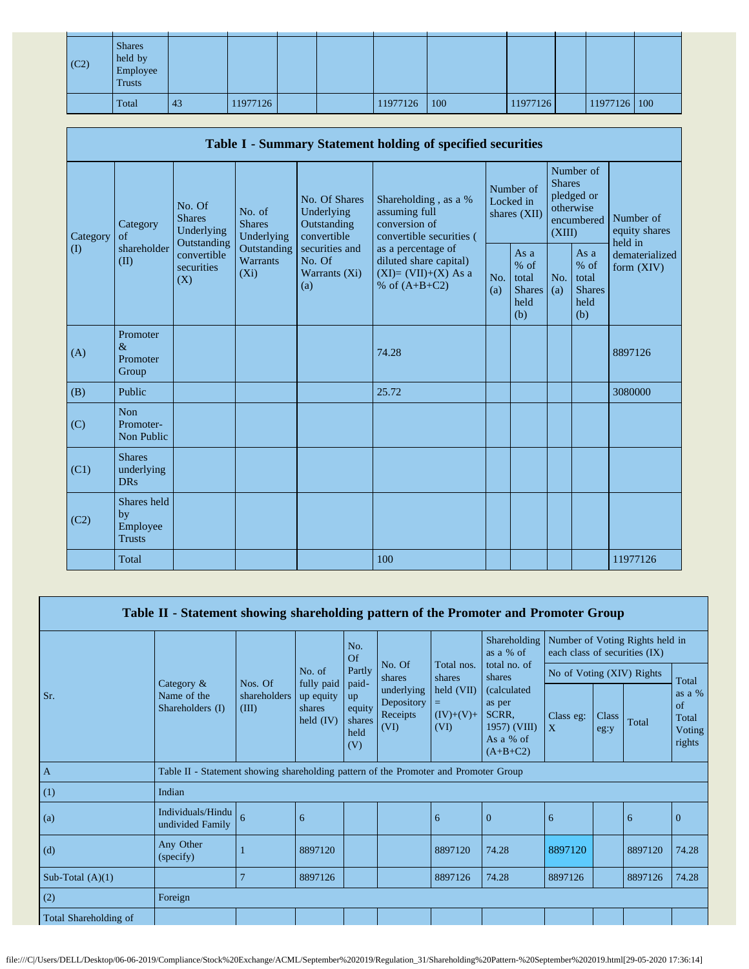| $\vert$ (C2) | <b>Shares</b><br>held by<br>Employee<br><b>Trusts</b> |    |          |  |          |     |          |              |  |
|--------------|-------------------------------------------------------|----|----------|--|----------|-----|----------|--------------|--|
|              | Total                                                 | 43 | 11977126 |  | 11977126 | 100 | 11977126 | 11977126 100 |  |

|                      | Table I - Summary Statement holding of specified securities |                                                                                          |                                                                             |                                                                                                               |                                                                                          |                   |                                                  |                         |                                                         |                                       |
|----------------------|-------------------------------------------------------------|------------------------------------------------------------------------------------------|-----------------------------------------------------------------------------|---------------------------------------------------------------------------------------------------------------|------------------------------------------------------------------------------------------|-------------------|--------------------------------------------------|-------------------------|---------------------------------------------------------|---------------------------------------|
| Category<br>$\rm(D)$ | Category<br>$\alpha$ f<br>shareholder<br>(II)               | No. Of<br><b>Shares</b><br>Underlying<br>Outstanding<br>convertible<br>securities<br>(X) | No. of<br><b>Shares</b><br>Underlying<br>Outstanding<br>Warrants<br>$(X_i)$ | No. Of Shares<br>Underlying<br>Outstanding<br>convertible<br>securities and<br>No. Of<br>Warrants (Xi)<br>(a) | Shareholding, as a %<br>assuming full<br>conversion of<br>convertible securities (       |                   | Number of<br>Locked in<br>shares (XII)           | <b>Shares</b><br>(XIII) | Number of<br>pledged or<br>otherwise<br>encumbered      | Number of<br>equity shares<br>held in |
|                      |                                                             |                                                                                          |                                                                             |                                                                                                               | as a percentage of<br>diluted share capital)<br>$(XI)=(VII)+(X)$ As a<br>% of $(A+B+C2)$ | No.<br>(a)<br>(b) | As a<br>$%$ of<br>total<br><b>Shares</b><br>held | No.<br>(a)              | As a<br>$%$ of<br>total<br><b>Shares</b><br>held<br>(b) | dematerialized<br>form $(XIV)$        |
| (A)                  | Promoter<br>$\&$<br>Promoter<br>Group                       |                                                                                          |                                                                             |                                                                                                               | 74.28                                                                                    |                   |                                                  |                         |                                                         | 8897126                               |
| (B)                  | Public                                                      |                                                                                          |                                                                             |                                                                                                               | 25.72                                                                                    |                   |                                                  |                         |                                                         | 3080000                               |
| (C)                  | <b>Non</b><br>Promoter-<br>Non Public                       |                                                                                          |                                                                             |                                                                                                               |                                                                                          |                   |                                                  |                         |                                                         |                                       |
| (C1)                 | <b>Shares</b><br>underlying<br><b>DRs</b>                   |                                                                                          |                                                                             |                                                                                                               |                                                                                          |                   |                                                  |                         |                                                         |                                       |
| (C2)                 | Shares held<br>by<br>Employee<br><b>Trusts</b>              |                                                                                          |                                                                             |                                                                                                               |                                                                                          |                   |                                                  |                         |                                                         |                                       |
|                      | Total                                                       |                                                                                          |                                                                             |                                                                                                               | 100                                                                                      |                   |                                                  |                         |                                                         | 11977126                              |

| Table II - Statement showing shareholding pattern of the Promoter and Promoter Group |                                                                                      |                       |                                                  |                                                |                                              |                                   |                                                                           |                               |                      |                                 |                                                  |
|--------------------------------------------------------------------------------------|--------------------------------------------------------------------------------------|-----------------------|--------------------------------------------------|------------------------------------------------|----------------------------------------------|-----------------------------------|---------------------------------------------------------------------------|-------------------------------|----------------------|---------------------------------|--------------------------------------------------|
|                                                                                      |                                                                                      |                       |                                                  | No.<br>Of<br>Partly                            | No. Of                                       | Total nos.                        | Shareholding<br>as a % of<br>total no. of                                 | each class of securities (IX) |                      | Number of Voting Rights held in |                                                  |
|                                                                                      |                                                                                      | Nos. Of               | No. of                                           |                                                | shares                                       | shares                            | shares                                                                    | No of Voting (XIV) Rights     |                      |                                 | Total                                            |
| Sr.                                                                                  | Category $\&$<br>Name of the<br>Shareholders (I)                                     | shareholders<br>(III) | fully paid<br>up equity<br>shares<br>held $(IV)$ | paid-<br>up<br>equity<br>shares<br>held<br>(V) | underlying<br>Depository<br>Receipts<br>(VI) | held (VII)<br>$(IV)+(V)+$<br>(VI) | (calculated<br>as per<br>SCRR,<br>1957) (VIII)<br>As a % of<br>$(A+B+C2)$ | Class eg:<br>$\mathbf{X}$     | <b>Class</b><br>eg:y | Total                           | as a %<br>of<br>Total<br><b>Voting</b><br>rights |
| $\mathbf{A}$                                                                         | Table II - Statement showing shareholding pattern of the Promoter and Promoter Group |                       |                                                  |                                                |                                              |                                   |                                                                           |                               |                      |                                 |                                                  |
| (1)                                                                                  | Indian                                                                               |                       |                                                  |                                                |                                              |                                   |                                                                           |                               |                      |                                 |                                                  |
| (a)                                                                                  | Individuals/Hindu<br>undivided Family                                                | 6                     | 6                                                |                                                |                                              | 6                                 | $\mathbf{0}$                                                              | 6                             |                      | 6                               | $\overline{0}$                                   |
| (d)                                                                                  | Any Other<br>(specify)                                                               |                       | 8897120                                          |                                                |                                              | 8897120                           | 74.28                                                                     | 8897120                       |                      | 8897120                         | 74.28                                            |
| Sub-Total $(A)(1)$                                                                   |                                                                                      | $\overline{7}$        | 8897126                                          |                                                |                                              | 8897126                           | 74.28                                                                     | 8897126                       |                      | 8897126                         | 74.28                                            |
| (2)                                                                                  | Foreign                                                                              |                       |                                                  |                                                |                                              |                                   |                                                                           |                               |                      |                                 |                                                  |
| Total Shareholding of                                                                |                                                                                      |                       |                                                  |                                                |                                              |                                   |                                                                           |                               |                      |                                 |                                                  |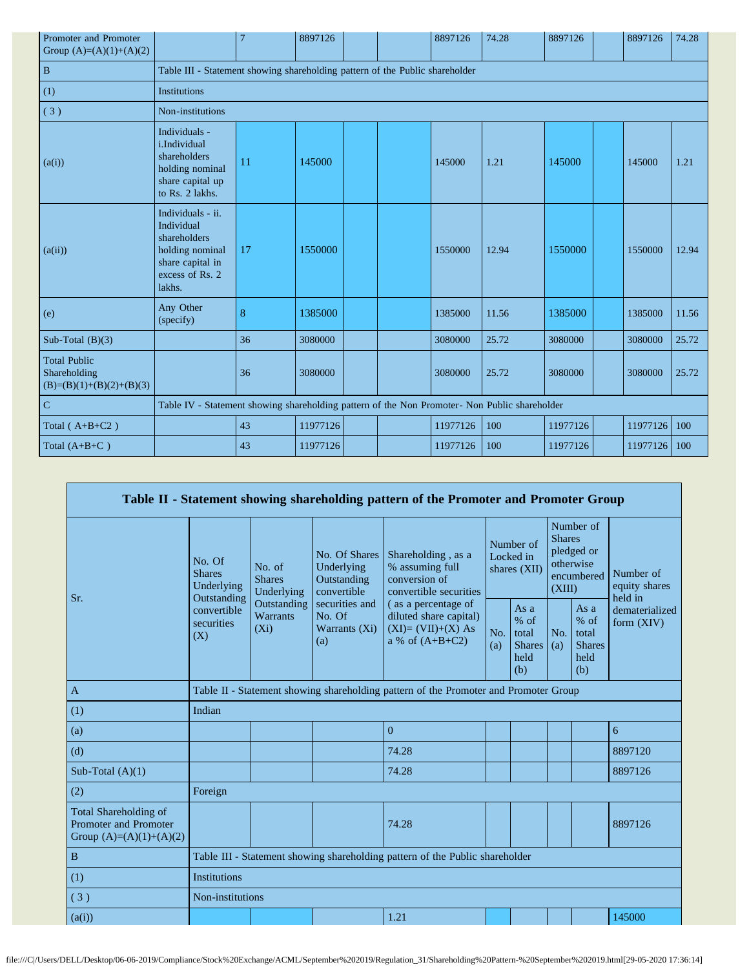| Promoter and Promoter<br>Group $(A)=(A)(1)+(A)(2)$                |                                                                                                                     | 7                                                                                             | 8897126  |  |  | 8897126  | 74.28 | 8897126  |  | 8897126  | 74.28 |  |
|-------------------------------------------------------------------|---------------------------------------------------------------------------------------------------------------------|-----------------------------------------------------------------------------------------------|----------|--|--|----------|-------|----------|--|----------|-------|--|
| $\mathbf{B}$                                                      |                                                                                                                     | Table III - Statement showing shareholding pattern of the Public shareholder                  |          |  |  |          |       |          |  |          |       |  |
| (1)                                                               | Institutions                                                                                                        |                                                                                               |          |  |  |          |       |          |  |          |       |  |
| (3)                                                               | Non-institutions                                                                                                    |                                                                                               |          |  |  |          |       |          |  |          |       |  |
| (a(i))                                                            | Individuals -<br>i.Individual<br>shareholders<br>holding nominal<br>share capital up<br>to Rs. 2 lakhs.             | 11                                                                                            | 145000   |  |  | 145000   | 1.21  | 145000   |  | 145000   | 1.21  |  |
| (a(ii))                                                           | Individuals - ii.<br>Individual<br>shareholders<br>holding nominal<br>share capital in<br>excess of Rs. 2<br>lakhs. | 17                                                                                            | 1550000  |  |  | 1550000  | 12.94 | 1550000  |  | 1550000  | 12.94 |  |
| (e)                                                               | Any Other<br>(specify)                                                                                              | 8                                                                                             | 1385000  |  |  | 1385000  | 11.56 | 1385000  |  | 1385000  | 11.56 |  |
| Sub-Total $(B)(3)$                                                |                                                                                                                     | 36                                                                                            | 3080000  |  |  | 3080000  | 25.72 | 3080000  |  | 3080000  | 25.72 |  |
| <b>Total Public</b><br>Shareholding<br>$(B)=(B)(1)+(B)(2)+(B)(3)$ |                                                                                                                     | 36                                                                                            | 3080000  |  |  | 3080000  | 25.72 | 3080000  |  | 3080000  | 25.72 |  |
| $\mathbf C$                                                       |                                                                                                                     | Table IV - Statement showing shareholding pattern of the Non Promoter- Non Public shareholder |          |  |  |          |       |          |  |          |       |  |
| Total $(A+B+C2)$                                                  |                                                                                                                     | 43                                                                                            | 11977126 |  |  | 11977126 | 100   | 11977126 |  | 11977126 | 100   |  |
| Total $(A+B+C)$                                                   |                                                                                                                     | 43                                                                                            | 11977126 |  |  | 11977126 | 100   | 11977126 |  | 11977126 | 100   |  |

|                                                                             |                                                                              |                                           |                                                           | Table II - Statement showing shareholding pattern of the Promoter and Promoter Group      |            |                                                                                                                         |            |                                                         |                                       |  |
|-----------------------------------------------------------------------------|------------------------------------------------------------------------------|-------------------------------------------|-----------------------------------------------------------|-------------------------------------------------------------------------------------------|------------|-------------------------------------------------------------------------------------------------------------------------|------------|---------------------------------------------------------|---------------------------------------|--|
| Sr.                                                                         | No. Of<br><b>Shares</b><br>Underlying<br>Outstanding                         | No. of<br><b>Shares</b><br>Underlying     | No. Of Shares<br>Underlying<br>Outstanding<br>convertible | Shareholding, as a<br>% assuming full<br>conversion of<br>convertible securities          |            | Number of<br><b>Shares</b><br>Number of<br>pledged or<br>Locked in<br>otherwise<br>shares (XII)<br>encumbered<br>(XIII) |            |                                                         | Number of<br>equity shares<br>held in |  |
|                                                                             | convertible<br>securities<br>(X)                                             | Outstanding<br><b>Warrants</b><br>$(X_i)$ | securities and<br>No. Of<br>Warrants (Xi)<br>(a)          | (as a percentage of<br>diluted share capital)<br>$(XI)=(VII)+(X) As$<br>a % of $(A+B+C2)$ | No.<br>(a) | As a<br>$%$ of<br>total<br><b>Shares</b><br>held<br>(b)                                                                 | No.<br>(a) | As a<br>$%$ of<br>total<br><b>Shares</b><br>held<br>(b) | dematerialized<br>form (XIV)          |  |
| $\mathbf{A}$                                                                |                                                                              |                                           |                                                           | Table II - Statement showing shareholding pattern of the Promoter and Promoter Group      |            |                                                                                                                         |            |                                                         |                                       |  |
| (1)                                                                         | Indian                                                                       |                                           |                                                           |                                                                                           |            |                                                                                                                         |            |                                                         |                                       |  |
| (a)                                                                         |                                                                              |                                           |                                                           | $\Omega$                                                                                  |            |                                                                                                                         |            |                                                         | 6                                     |  |
| (d)                                                                         |                                                                              |                                           |                                                           | 74.28                                                                                     |            |                                                                                                                         |            |                                                         | 8897120                               |  |
| Sub-Total $(A)(1)$                                                          |                                                                              |                                           |                                                           | 74.28                                                                                     |            |                                                                                                                         |            |                                                         | 8897126                               |  |
| (2)                                                                         | Foreign                                                                      |                                           |                                                           |                                                                                           |            |                                                                                                                         |            |                                                         |                                       |  |
| Total Shareholding of<br>Promoter and Promoter<br>Group $(A)=(A)(1)+(A)(2)$ |                                                                              |                                           |                                                           | 74.28                                                                                     |            |                                                                                                                         |            |                                                         | 8897126                               |  |
| $\, {\bf B}$                                                                | Table III - Statement showing shareholding pattern of the Public shareholder |                                           |                                                           |                                                                                           |            |                                                                                                                         |            |                                                         |                                       |  |
| (1)                                                                         | <b>Institutions</b>                                                          |                                           |                                                           |                                                                                           |            |                                                                                                                         |            |                                                         |                                       |  |
| (3)                                                                         |                                                                              | Non-institutions                          |                                                           |                                                                                           |            |                                                                                                                         |            |                                                         |                                       |  |
| (a(i))                                                                      |                                                                              |                                           |                                                           | 1.21                                                                                      |            |                                                                                                                         |            |                                                         | 145000                                |  |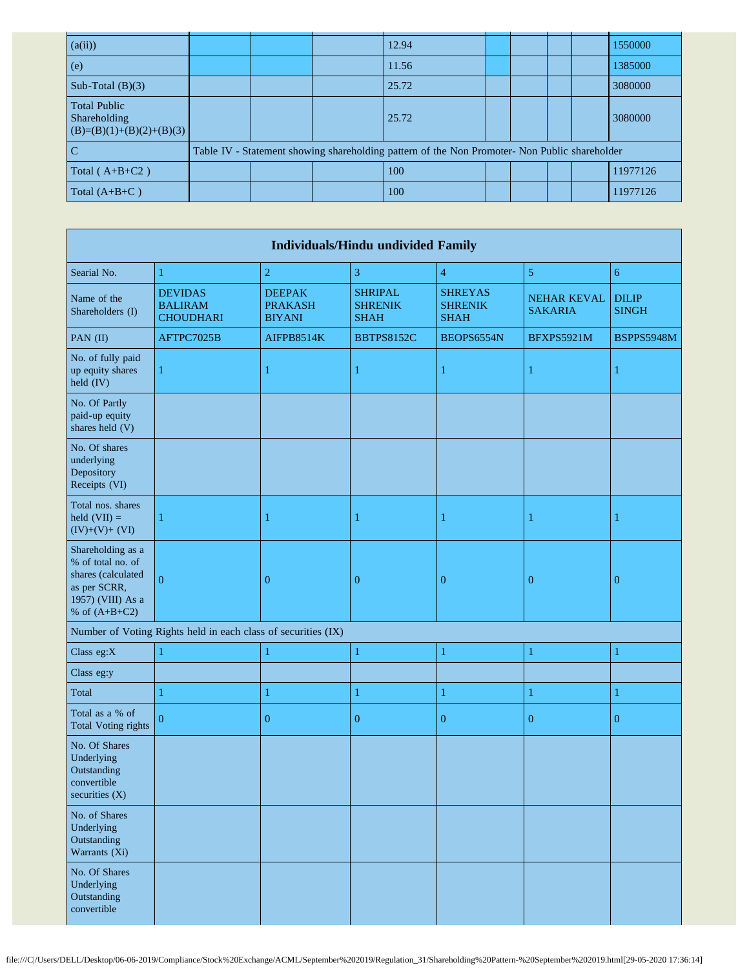| (a(ii))                                                           |  | 12.94                                                                                         |  |  | 1550000  |
|-------------------------------------------------------------------|--|-----------------------------------------------------------------------------------------------|--|--|----------|
| (e)                                                               |  | 11.56                                                                                         |  |  | 1385000  |
| Sub-Total $(B)(3)$                                                |  | 25.72                                                                                         |  |  | 3080000  |
| <b>Total Public</b><br>Shareholding<br>$(B)=(B)(1)+(B)(2)+(B)(3)$ |  | 25.72                                                                                         |  |  | 3080000  |
|                                                                   |  | Table IV - Statement showing shareholding pattern of the Non Promoter- Non Public shareholder |  |  |          |
| Total $(A+B+C2)$                                                  |  | 100                                                                                           |  |  | 11977126 |
| Total $(A+B+C)$                                                   |  | 100                                                                                           |  |  | 11977126 |

| <b>Individuals/Hindu undivided Family</b>                                                                            |                                                               |                                                  |                                                 |                                                 |                                      |                              |  |  |  |
|----------------------------------------------------------------------------------------------------------------------|---------------------------------------------------------------|--------------------------------------------------|-------------------------------------------------|-------------------------------------------------|--------------------------------------|------------------------------|--|--|--|
| Searial No.                                                                                                          | $\mathbf{1}$                                                  | $\overline{c}$                                   | 3                                               | $\overline{4}$                                  | 5                                    | $\overline{6}$               |  |  |  |
| Name of the<br>Shareholders (I)                                                                                      | <b>DEVIDAS</b><br><b>BALIRAM</b><br><b>CHOUDHARI</b>          | <b>DEEPAK</b><br><b>PRAKASH</b><br><b>BIYANI</b> | <b>SHRIPAL</b><br><b>SHRENIK</b><br><b>SHAH</b> | <b>SHREYAS</b><br><b>SHRENIK</b><br><b>SHAH</b> | <b>NEHAR KEVAL</b><br><b>SAKARIA</b> | <b>DILIP</b><br><b>SINGH</b> |  |  |  |
| PAN (II)                                                                                                             | AFTPC7025B                                                    | AIFPB8514K                                       | <b>BBTPS8152C</b>                               | BEOPS6554N                                      | BFXPS5921M                           | BSPPS5948M                   |  |  |  |
| No. of fully paid<br>up equity shares<br>held (IV)                                                                   |                                                               | 1                                                | 1                                               | 1                                               | 1                                    |                              |  |  |  |
| No. Of Partly<br>paid-up equity<br>shares held (V)                                                                   |                                                               |                                                  |                                                 |                                                 |                                      |                              |  |  |  |
| No. Of shares<br>underlying<br>Depository<br>Receipts (VI)                                                           |                                                               |                                                  |                                                 |                                                 |                                      |                              |  |  |  |
| Total nos. shares<br>held $(VII) =$<br>$(IV)+(V)+(VI)$                                                               |                                                               | 1                                                | 1                                               | 1                                               | 1                                    |                              |  |  |  |
| Shareholding as a<br>% of total no. of<br>shares (calculated<br>as per SCRR,<br>1957) (VIII) As a<br>% of $(A+B+C2)$ | $\Omega$                                                      | $\boldsymbol{0}$                                 | $\boldsymbol{0}$                                | $\boldsymbol{0}$                                | $\bf{0}$                             | $\mathbf{0}$                 |  |  |  |
|                                                                                                                      | Number of Voting Rights held in each class of securities (IX) |                                                  |                                                 |                                                 |                                      |                              |  |  |  |
| Class eg:X                                                                                                           | 1                                                             | $\mathbf{1}$                                     | $\mathbf{1}$                                    | $\mathbf{1}$                                    | 1                                    | 1                            |  |  |  |
| Class eg:y                                                                                                           |                                                               |                                                  |                                                 |                                                 |                                      |                              |  |  |  |
| Total                                                                                                                | 1                                                             | $\mathbf{1}$                                     | $\mathbf{1}$                                    | $\mathbf{1}$                                    | 1                                    | 1                            |  |  |  |
| Total as a % of<br><b>Total Voting rights</b>                                                                        | $\Omega$                                                      | $\overline{0}$                                   | $\overline{0}$                                  | $\boldsymbol{0}$                                | $\overline{0}$                       | $\overline{0}$               |  |  |  |
| No. Of Shares<br>Underlying<br>Outstanding<br>convertible<br>securities (X)                                          |                                                               |                                                  |                                                 |                                                 |                                      |                              |  |  |  |
| No. of Shares<br>Underlying<br>Outstanding<br>Warrants (Xi)                                                          |                                                               |                                                  |                                                 |                                                 |                                      |                              |  |  |  |
| No. Of Shares<br>Underlying<br>Outstanding<br>convertible                                                            |                                                               |                                                  |                                                 |                                                 |                                      |                              |  |  |  |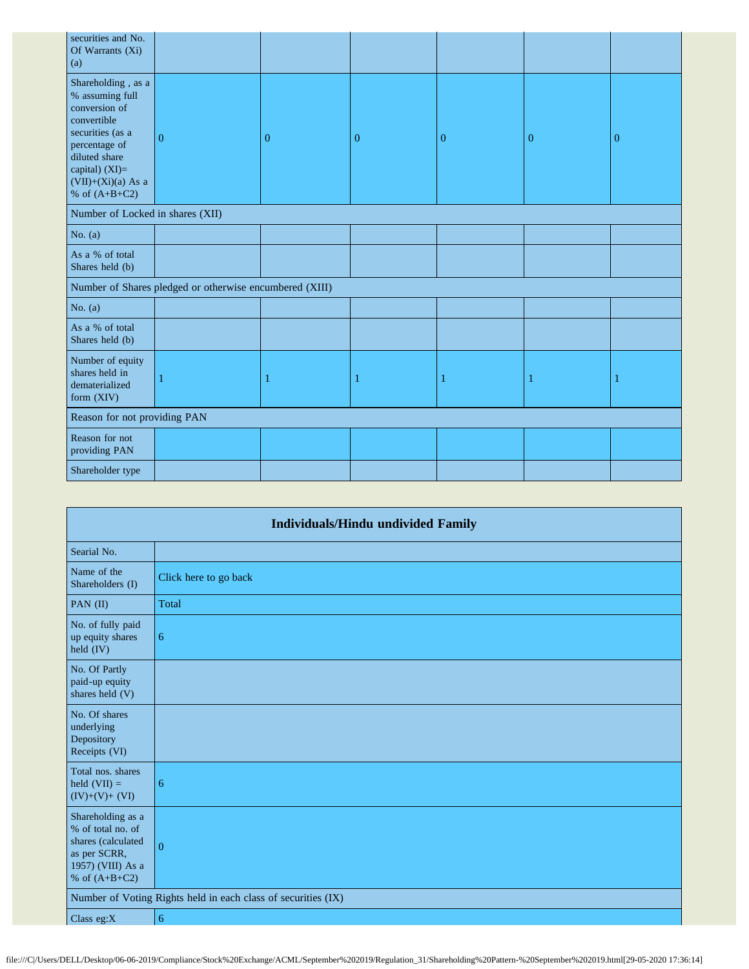| securities and No.<br>Of Warrants (Xi)<br>(a)                                                                                                                                              |                                                         |              |          |                |          |          |
|--------------------------------------------------------------------------------------------------------------------------------------------------------------------------------------------|---------------------------------------------------------|--------------|----------|----------------|----------|----------|
| Shareholding, as a<br>% assuming full<br>conversion of<br>convertible<br>securities (as a<br>percentage of<br>diluted share<br>capital) $(XI)=$<br>$(VII)+(Xi)(a)$ As a<br>% of $(A+B+C2)$ | $\overline{0}$                                          | $\mathbf{0}$ | $\theta$ | $\overline{0}$ | $\bf{0}$ | $\bf{0}$ |
| Number of Locked in shares (XII)                                                                                                                                                           |                                                         |              |          |                |          |          |
| No. $(a)$                                                                                                                                                                                  |                                                         |              |          |                |          |          |
| As a % of total<br>Shares held (b)                                                                                                                                                         |                                                         |              |          |                |          |          |
|                                                                                                                                                                                            | Number of Shares pledged or otherwise encumbered (XIII) |              |          |                |          |          |
| No. $(a)$                                                                                                                                                                                  |                                                         |              |          |                |          |          |
| As a % of total<br>Shares held (b)                                                                                                                                                         |                                                         |              |          |                |          |          |
| Number of equity<br>shares held in<br>dematerialized<br>form (XIV)                                                                                                                         |                                                         | 1            | 1        | -1             | 1        |          |
| Reason for not providing PAN                                                                                                                                                               |                                                         |              |          |                |          |          |
| Reason for not<br>providing PAN                                                                                                                                                            |                                                         |              |          |                |          |          |
| Shareholder type                                                                                                                                                                           |                                                         |              |          |                |          |          |

|                                                                                                                      | <b>Individuals/Hindu undivided Family</b>                     |  |  |  |  |  |  |  |  |
|----------------------------------------------------------------------------------------------------------------------|---------------------------------------------------------------|--|--|--|--|--|--|--|--|
| Searial No.                                                                                                          |                                                               |  |  |  |  |  |  |  |  |
| Name of the<br>Shareholders (I)                                                                                      | Click here to go back                                         |  |  |  |  |  |  |  |  |
| PAN (II)                                                                                                             | Total                                                         |  |  |  |  |  |  |  |  |
| No. of fully paid<br>up equity shares<br>held $(IV)$                                                                 | $\sqrt{6}$                                                    |  |  |  |  |  |  |  |  |
| No. Of Partly<br>paid-up equity<br>shares held (V)                                                                   |                                                               |  |  |  |  |  |  |  |  |
| No. Of shares<br>underlying<br>Depository<br>Receipts (VI)                                                           |                                                               |  |  |  |  |  |  |  |  |
| Total nos. shares<br>held $(VII) =$<br>$(IV)+(V)+(VI)$                                                               | 6                                                             |  |  |  |  |  |  |  |  |
| Shareholding as a<br>% of total no. of<br>shares (calculated<br>as per SCRR,<br>1957) (VIII) As a<br>% of $(A+B+C2)$ | $\overline{0}$                                                |  |  |  |  |  |  |  |  |
|                                                                                                                      | Number of Voting Rights held in each class of securities (IX) |  |  |  |  |  |  |  |  |
| Class eg: $X$                                                                                                        | 6                                                             |  |  |  |  |  |  |  |  |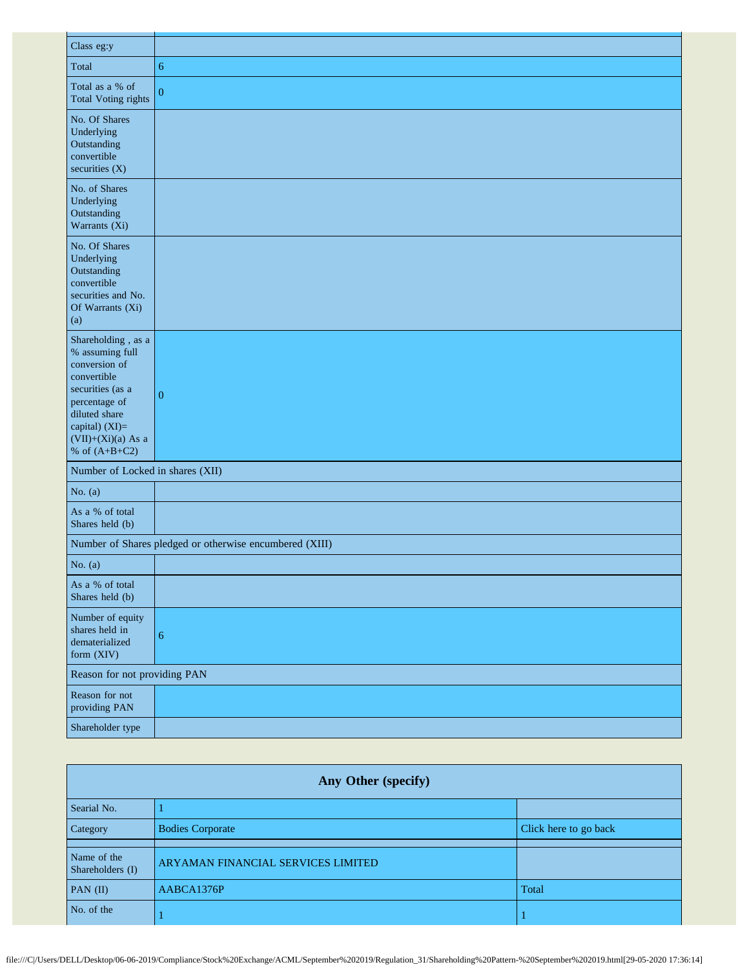| Class eg:y                                                                                                                                                                               |                                                         |
|------------------------------------------------------------------------------------------------------------------------------------------------------------------------------------------|---------------------------------------------------------|
| Total                                                                                                                                                                                    | 6                                                       |
| Total as a % of<br><b>Total Voting rights</b>                                                                                                                                            | $\overline{0}$                                          |
| No. Of Shares<br>Underlying<br>Outstanding<br>convertible<br>securities $(X)$                                                                                                            |                                                         |
| No. of Shares<br>Underlying<br>Outstanding<br>Warrants (Xi)                                                                                                                              |                                                         |
| No. Of Shares<br>Underlying<br>Outstanding<br>convertible<br>securities and No.<br>Of Warrants (Xi)<br>(a)                                                                               |                                                         |
| Shareholding, as a<br>% assuming full<br>conversion of<br>convertible<br>securities (as a<br>percentage of<br>diluted share<br>capital) (XI)=<br>$(VII)+(Xi)(a)$ As a<br>% of $(A+B+C2)$ | $\overline{0}$                                          |
| Number of Locked in shares (XII)                                                                                                                                                         |                                                         |
| No. $(a)$                                                                                                                                                                                |                                                         |
| As a % of total<br>Shares held (b)                                                                                                                                                       |                                                         |
|                                                                                                                                                                                          | Number of Shares pledged or otherwise encumbered (XIII) |
| No. $(a)$                                                                                                                                                                                |                                                         |
| As a % of total<br>Shares held (b)                                                                                                                                                       |                                                         |
| Number of equity<br>shares held in<br>dematerialized<br>form (XIV)                                                                                                                       | $\sqrt{6}$                                              |
| Reason for not providing PAN                                                                                                                                                             |                                                         |
| Reason for not<br>providing PAN                                                                                                                                                          |                                                         |
| Shareholder type                                                                                                                                                                         |                                                         |

| Any Other (specify)             |                                    |                       |  |
|---------------------------------|------------------------------------|-----------------------|--|
| Searial No.                     |                                    |                       |  |
| Category                        | <b>Bodies Corporate</b>            | Click here to go back |  |
| Name of the<br>Shareholders (I) | ARYAMAN FINANCIAL SERVICES LIMITED |                       |  |
| $PAN$ (II)                      | AABCA1376P                         | Total                 |  |
| No. of the                      |                                    |                       |  |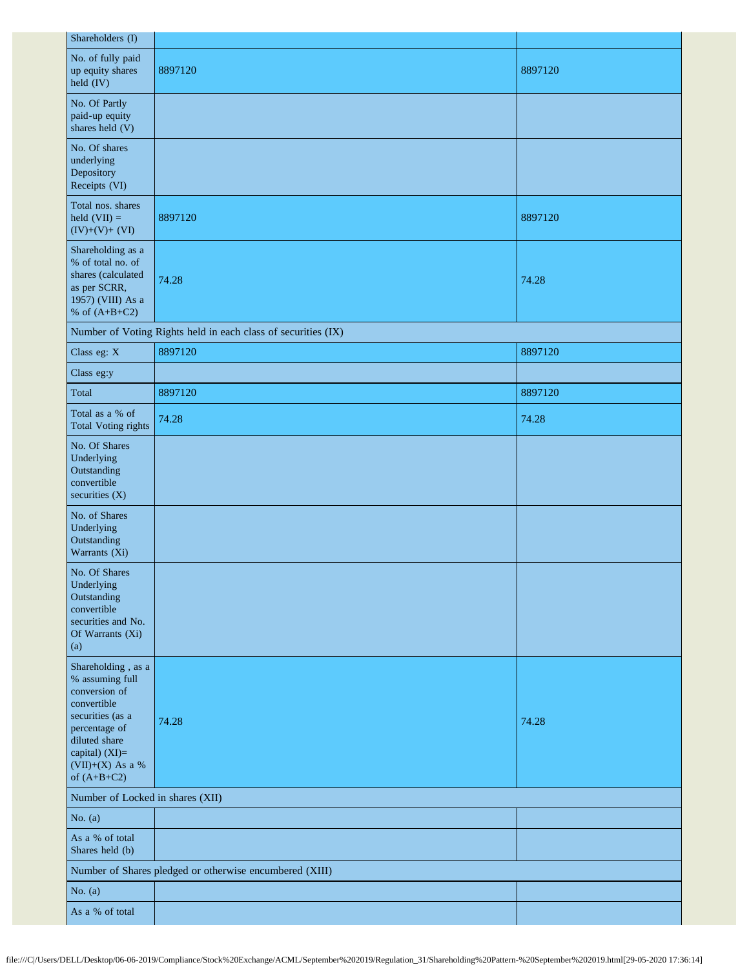| Shareholders (I)                                                                                                                                                                   |                                                               |         |  |  |
|------------------------------------------------------------------------------------------------------------------------------------------------------------------------------------|---------------------------------------------------------------|---------|--|--|
| No. of fully paid<br>up equity shares<br>held (IV)                                                                                                                                 | 8897120                                                       | 8897120 |  |  |
| No. Of Partly<br>paid-up equity<br>shares held (V)                                                                                                                                 |                                                               |         |  |  |
| No. Of shares<br>underlying<br>Depository<br>Receipts (VI)                                                                                                                         |                                                               |         |  |  |
| Total nos. shares<br>held $(VII) =$<br>$(IV)+(V)+(VI)$                                                                                                                             | 8897120                                                       | 8897120 |  |  |
| Shareholding as a<br>% of total no. of<br>shares (calculated<br>as per SCRR,<br>1957) (VIII) As a<br>% of $(A+B+C2)$                                                               | 74.28                                                         | 74.28   |  |  |
|                                                                                                                                                                                    | Number of Voting Rights held in each class of securities (IX) |         |  |  |
| Class eg: X                                                                                                                                                                        | 8897120                                                       | 8897120 |  |  |
| Class eg:y                                                                                                                                                                         |                                                               |         |  |  |
| Total                                                                                                                                                                              | 8897120                                                       | 8897120 |  |  |
| Total as a % of<br><b>Total Voting rights</b>                                                                                                                                      | 74.28                                                         | 74.28   |  |  |
| No. Of Shares<br>Underlying<br>Outstanding<br>convertible<br>securities (X)                                                                                                        |                                                               |         |  |  |
| No. of Shares<br>Underlying<br>Outstanding<br>Warrants (Xi)                                                                                                                        |                                                               |         |  |  |
| No. Of Shares<br>Underlying<br>Outstanding<br>convertible<br>securities and No.<br>Of Warrants (Xi)<br>(a)                                                                         |                                                               |         |  |  |
| Shareholding, as a<br>% assuming full<br>conversion of<br>convertible<br>securities (as a<br>percentage of<br>diluted share<br>capital) (XI)=<br>(VII)+(X) As a %<br>of $(A+B+C2)$ | 74.28                                                         | 74.28   |  |  |
| Number of Locked in shares (XII)                                                                                                                                                   |                                                               |         |  |  |
| No. $(a)$                                                                                                                                                                          |                                                               |         |  |  |
| As a % of total<br>Shares held (b)                                                                                                                                                 |                                                               |         |  |  |
| Number of Shares pledged or otherwise encumbered (XIII)                                                                                                                            |                                                               |         |  |  |
| No. $(a)$                                                                                                                                                                          |                                                               |         |  |  |
| As a % of total                                                                                                                                                                    |                                                               |         |  |  |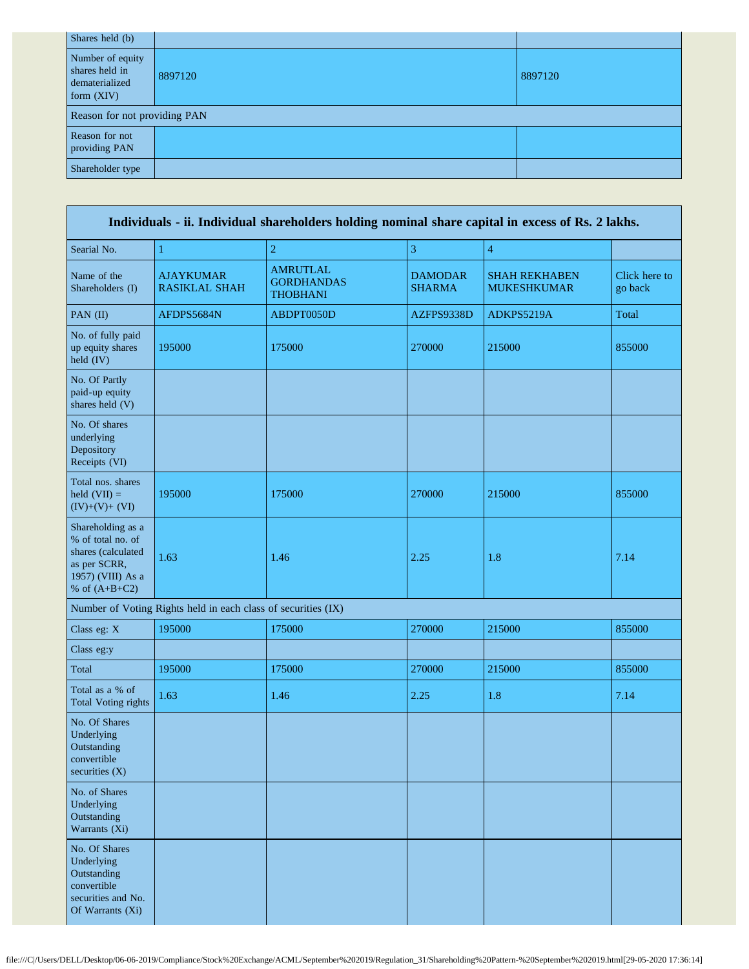| Shares held (b)                                                      |                              |         |  |  |  |
|----------------------------------------------------------------------|------------------------------|---------|--|--|--|
| Number of equity<br>shares held in<br>dematerialized<br>form $(XIV)$ | 8897120                      | 8897120 |  |  |  |
|                                                                      | Reason for not providing PAN |         |  |  |  |
| Reason for not<br>providing PAN                                      |                              |         |  |  |  |
| Shareholder type                                                     |                              |         |  |  |  |

| Individuals - ii. Individual shareholders holding nominal share capital in excess of Rs. 2 lakhs.                    |                                                               |                                                         |                                 |                                            |                          |
|----------------------------------------------------------------------------------------------------------------------|---------------------------------------------------------------|---------------------------------------------------------|---------------------------------|--------------------------------------------|--------------------------|
| Searial No.                                                                                                          | $\mathbf{1}$                                                  | $\overline{2}$                                          | 3                               | $\overline{4}$                             |                          |
| Name of the<br>Shareholders (I)                                                                                      | <b>AJAYKUMAR</b><br><b>RASIKLAL SHAH</b>                      | <b>AMRUTLAL</b><br><b>GORDHANDAS</b><br><b>THOBHANI</b> | <b>DAMODAR</b><br><b>SHARMA</b> | <b>SHAH REKHABEN</b><br><b>MUKESHKUMAR</b> | Click here to<br>go back |
| PAN (II)                                                                                                             | AFDPS5684N                                                    | ABDPT0050D                                              | AZFPS9338D                      | ADKPS5219A                                 | Total                    |
| No. of fully paid<br>up equity shares<br>held (IV)                                                                   | 195000                                                        | 175000                                                  | 270000                          | 215000                                     | 855000                   |
| No. Of Partly<br>paid-up equity<br>shares held (V)                                                                   |                                                               |                                                         |                                 |                                            |                          |
| No. Of shares<br>underlying<br>Depository<br>Receipts (VI)                                                           |                                                               |                                                         |                                 |                                            |                          |
| Total nos. shares<br>held $(VII) =$<br>$(IV)+(V)+(VI)$                                                               | 195000                                                        | 175000                                                  | 270000                          | 215000                                     | 855000                   |
| Shareholding as a<br>% of total no. of<br>shares (calculated<br>as per SCRR,<br>1957) (VIII) As a<br>% of $(A+B+C2)$ | 1.63                                                          | 1.46                                                    | 2.25                            | 1.8                                        | 7.14                     |
|                                                                                                                      | Number of Voting Rights held in each class of securities (IX) |                                                         |                                 |                                            |                          |
| Class eg: X                                                                                                          | 195000                                                        | 175000                                                  | 270000                          | 215000                                     | 855000                   |
| Class eg:y                                                                                                           |                                                               |                                                         |                                 |                                            |                          |
| Total                                                                                                                | 195000                                                        | 175000                                                  | 270000                          | 215000                                     | 855000                   |
| Total as a % of<br><b>Total Voting rights</b>                                                                        | 1.63                                                          | 1.46                                                    | 2.25                            | $1.8\,$                                    | 7.14                     |
| No. Of Shares<br>Underlying<br>Outstanding<br>convertible<br>securities $(X)$                                        |                                                               |                                                         |                                 |                                            |                          |
| No. of Shares<br>Underlying<br>Outstanding<br>Warrants (Xi)                                                          |                                                               |                                                         |                                 |                                            |                          |
| No. Of Shares<br>Underlying<br>Outstanding<br>convertible<br>securities and No.<br>Of Warrants (Xi)                  |                                                               |                                                         |                                 |                                            |                          |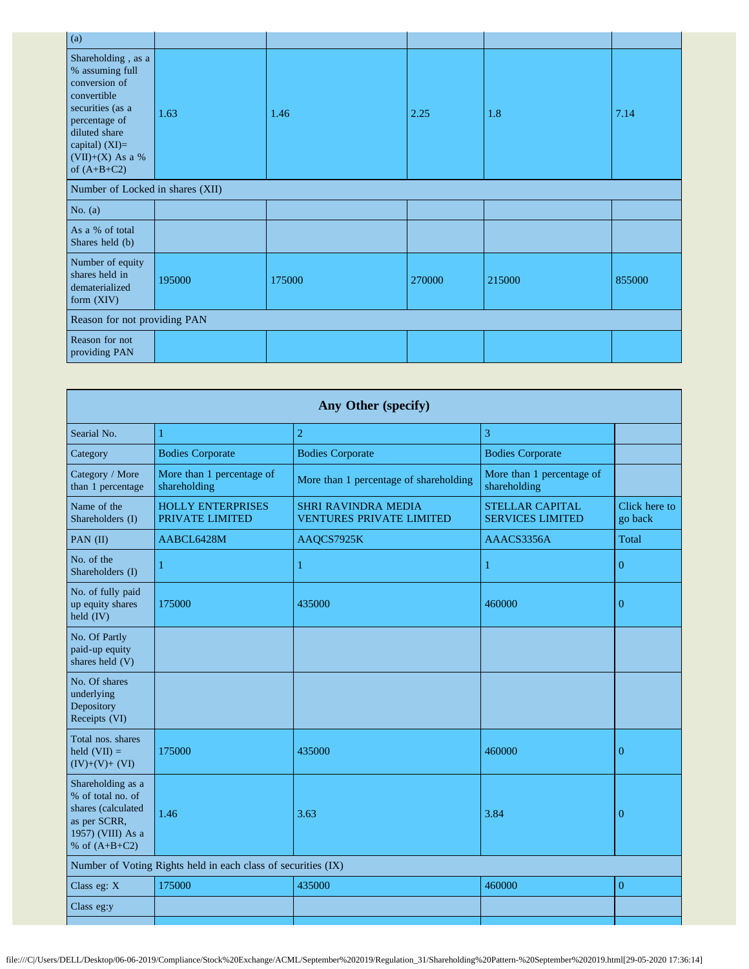| 1.63                         | 1.46                             | 2.25   | 1.8    | 7.14   |  |
|------------------------------|----------------------------------|--------|--------|--------|--|
|                              |                                  |        |        |        |  |
|                              |                                  |        |        |        |  |
|                              |                                  |        |        |        |  |
| 195000                       | 175000                           | 270000 | 215000 | 855000 |  |
| Reason for not providing PAN |                                  |        |        |        |  |
|                              |                                  |        |        |        |  |
|                              | Number of Locked in shares (XII) |        |        |        |  |

| Any Other (specify)                                                                                                  |                                             |                                                               |                                                   |                          |  |
|----------------------------------------------------------------------------------------------------------------------|---------------------------------------------|---------------------------------------------------------------|---------------------------------------------------|--------------------------|--|
| Searial No.                                                                                                          | 1                                           | $\overline{2}$                                                | 3                                                 |                          |  |
| Category                                                                                                             | <b>Bodies Corporate</b>                     | <b>Bodies Corporate</b>                                       | <b>Bodies Corporate</b>                           |                          |  |
| Category / More<br>than 1 percentage                                                                                 | More than 1 percentage of<br>shareholding   | More than 1 percentage of shareholding                        | More than 1 percentage of<br>shareholding         |                          |  |
| Name of the<br>Shareholders (I)                                                                                      | <b>HOLLY ENTERPRISES</b><br>PRIVATE LIMITED | <b>SHRI RAVINDRA MEDIA</b><br><b>VENTURES PRIVATE LIMITED</b> | <b>STELLAR CAPITAL</b><br><b>SERVICES LIMITED</b> | Click here to<br>go back |  |
| PAN (II)                                                                                                             | AABCL6428M                                  | AAQCS7925K                                                    | AAACS3356A                                        | Total                    |  |
| No. of the<br>Shareholders (I)                                                                                       | 1                                           | $\mathbf{1}$                                                  | 1                                                 | $\Omega$                 |  |
| No. of fully paid<br>up equity shares<br>held (IV)                                                                   | 175000                                      | 435000                                                        | 460000                                            | $\overline{0}$           |  |
| No. Of Partly<br>paid-up equity<br>shares held (V)                                                                   |                                             |                                                               |                                                   |                          |  |
| No. Of shares<br>underlying<br>Depository<br>Receipts (VI)                                                           |                                             |                                                               |                                                   |                          |  |
| Total nos. shares<br>held $(VII) =$<br>$(IV)+(V)+(VI)$                                                               | 175000                                      | 435000                                                        | 460000                                            | $\overline{0}$           |  |
| Shareholding as a<br>% of total no. of<br>shares (calculated<br>as per SCRR,<br>1957) (VIII) As a<br>% of $(A+B+C2)$ | 1.46                                        | 3.63                                                          | 3.84                                              | $\overline{0}$           |  |
| Number of Voting Rights held in each class of securities (IX)                                                        |                                             |                                                               |                                                   |                          |  |
| Class eg: X                                                                                                          | 175000                                      | 435000                                                        | 460000                                            | $\boldsymbol{0}$         |  |
| Class eg:y                                                                                                           |                                             |                                                               |                                                   |                          |  |